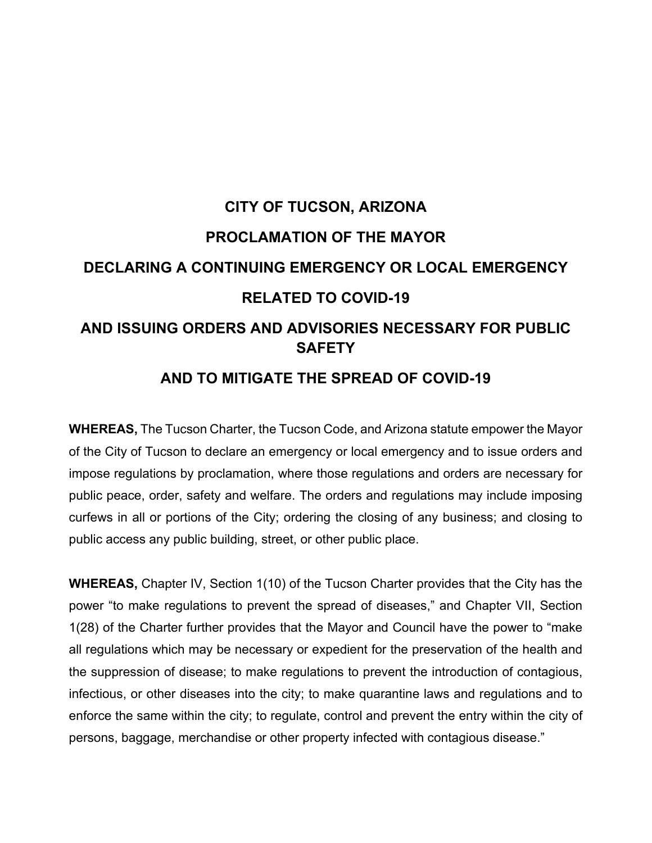# **CITY OF TUCSON, ARIZONA PROCLAMATION OF THE MAYOR DECLARING A CONTINUING EMERGENCY OR LOCAL EMERGENCY RELATED TO COVID-19 AND ISSUING ORDERS AND ADVISORIES NECESSARY FOR PUBLIC SAFETY**

### **AND TO MITIGATE THE SPREAD OF COVID-19**

**WHEREAS,** The Tucson Charter, the Tucson Code, and Arizona statute empower the Mayor of the City of Tucson to declare an emergency or local emergency and to issue orders and impose regulations by proclamation, where those regulations and orders are necessary for public peace, order, safety and welfare. The orders and regulations may include imposing curfews in all or portions of the City; ordering the closing of any business; and closing to public access any public building, street, or other public place.

**WHEREAS,** Chapter IV, Section 1(10) of the Tucson Charter provides that the City has the power "to make regulations to prevent the spread of diseases," and Chapter VII, Section 1(28) of the Charter further provides that the Mayor and Council have the power to "make all regulations which may be necessary or expedient for the preservation of the health and the suppression of disease; to make regulations to prevent the introduction of contagious, infectious, or other diseases into the city; to make quarantine laws and regulations and to enforce the same within the city; to regulate, control and prevent the entry within the city of persons, baggage, merchandise or other property infected with contagious disease."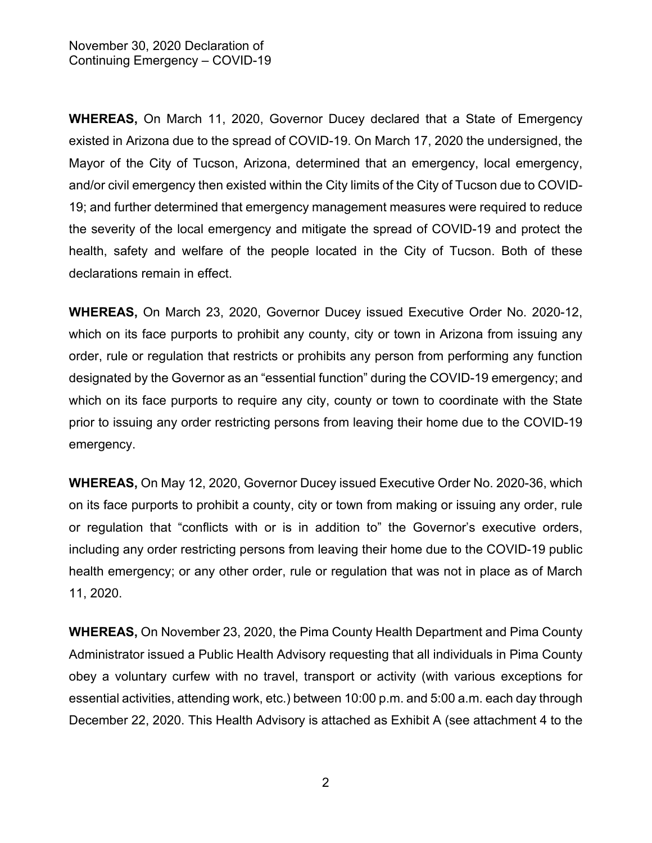**WHEREAS,** On March 11, 2020, Governor Ducey declared that a State of Emergency existed in Arizona due to the spread of COVID-19. On March 17, 2020 the undersigned, the Mayor of the City of Tucson, Arizona, determined that an emergency, local emergency, and/or civil emergency then existed within the City limits of the City of Tucson due to COVID-19; and further determined that emergency management measures were required to reduce the severity of the local emergency and mitigate the spread of COVID-19 and protect the health, safety and welfare of the people located in the City of Tucson. Both of these declarations remain in effect.

**WHEREAS,** On March 23, 2020, Governor Ducey issued Executive Order No. 2020-12, which on its face purports to prohibit any county, city or town in Arizona from issuing any order, rule or regulation that restricts or prohibits any person from performing any function designated by the Governor as an "essential function" during the COVID-19 emergency; and which on its face purports to require any city, county or town to coordinate with the State prior to issuing any order restricting persons from leaving their home due to the COVID-19 emergency.

**WHEREAS,** On May 12, 2020, Governor Ducey issued Executive Order No. 2020-36, which on its face purports to prohibit a county, city or town from making or issuing any order, rule or regulation that "conflicts with or is in addition to" the Governor's executive orders, including any order restricting persons from leaving their home due to the COVID-19 public health emergency; or any other order, rule or regulation that was not in place as of March 11, 2020.

**WHEREAS,** On November 23, 2020, the Pima County Health Department and Pima County Administrator issued a Public Health Advisory requesting that all individuals in Pima County obey a voluntary curfew with no travel, transport or activity (with various exceptions for essential activities, attending work, etc.) between 10:00 p.m. and 5:00 a.m. each day through December 22, 2020. This Health Advisory is attached as Exhibit A (see attachment 4 to the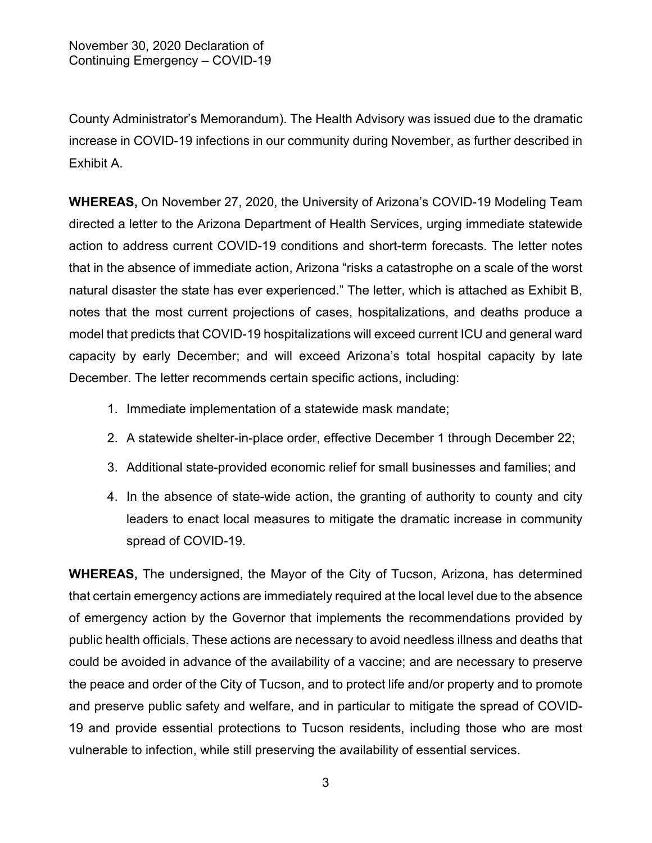County Administrator's Memorandum). The Health Advisory was issued due to the dramatic increase in COVID-19 infections in our community during November, as further described in Exhibit A.

**WHEREAS,** On November 27, 2020, the University of Arizona's COVID-19 Modeling Team directed a letter to the Arizona Department of Health Services, urging immediate statewide action to address current COVID-19 conditions and short-term forecasts. The letter notes that in the absence of immediate action, Arizona "risks a catastrophe on a scale of the worst natural disaster the state has ever experienced." The letter, which is attached as Exhibit B, notes that the most current projections of cases, hospitalizations, and deaths produce a model that predicts that COVID-19 hospitalizations will exceed current ICU and general ward capacity by early December; and will exceed Arizona's total hospital capacity by late December. The letter recommends certain specific actions, including:

- 1. Immediate implementation of a statewide mask mandate;
- 2. A statewide shelter-in-place order, effective December 1 through December 22;
- 3. Additional state-provided economic relief for small businesses and families; and
- 4. In the absence of state-wide action, the granting of authority to county and city leaders to enact local measures to mitigate the dramatic increase in community spread of COVID-19.

**WHEREAS,** The undersigned, the Mayor of the City of Tucson, Arizona, has determined that certain emergency actions are immediately required at the local level due to the absence of emergency action by the Governor that implements the recommendations provided by public health officials. These actions are necessary to avoid needless illness and deaths that could be avoided in advance of the availability of a vaccine; and are necessary to preserve the peace and order of the City of Tucson, and to protect life and/or property and to promote and preserve public safety and welfare, and in particular to mitigate the spread of COVID-19 and provide essential protections to Tucson residents, including those who are most vulnerable to infection, while still preserving the availability of essential services.

3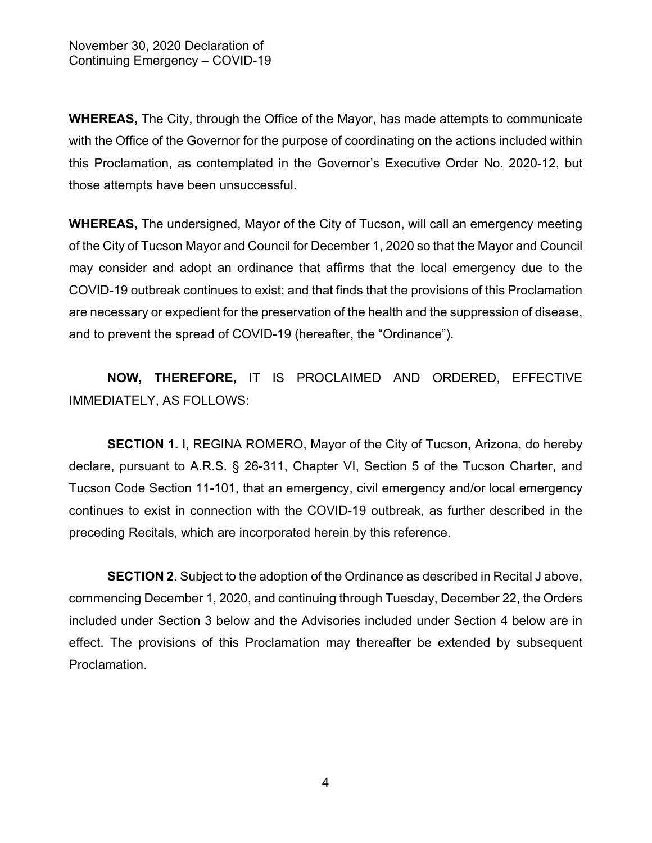**WHEREAS,** The City, through the Office of the Mayor, has made attempts to communicate with the Office of the Governor for the purpose of coordinating on the actions included within this Proclamation, as contemplated in the Governor's Executive Order No. 2020-12, but those attempts have been unsuccessful.

**WHEREAS,** The undersigned, Mayor of the City of Tucson, will call an emergency meeting of the City of Tucson Mayor and Council for December 1, 2020 so that the Mayor and Council may consider and adopt an ordinance that affirms that the local emergency due to the COVID-19 outbreak continues to exist; and that finds that the provisions of this Proclamation are necessary or expedient for the preservation of the health and the suppression of disease, and to prevent the spread of COVID-19 (hereafter, the "Ordinance").

**NOW, THEREFORE,** IT IS PROCLAIMED AND ORDERED, EFFECTIVE IMMEDIATELY, AS FOLLOWS:

**SECTION 1.** I, REGINA ROMERO, Mayor of the City of Tucson, Arizona, do hereby declare, pursuant to A.R.S. § 26-311, Chapter VI, Section 5 of the Tucson Charter, and Tucson Code Section 11-101, that an emergency, civil emergency and/or local emergency continues to exist in connection with the COVID-19 outbreak, as further described in the preceding Recitals, which are incorporated herein by this reference.

**SECTION 2.** Subject to the adoption of the Ordinance as described in Recital J above, commencing December 1, 2020, and continuing through Tuesday, December 22, the Orders included under Section 3 below and the Advisories included under Section 4 below are in effect. The provisions of this Proclamation may thereafter be extended by subsequent Proclamation.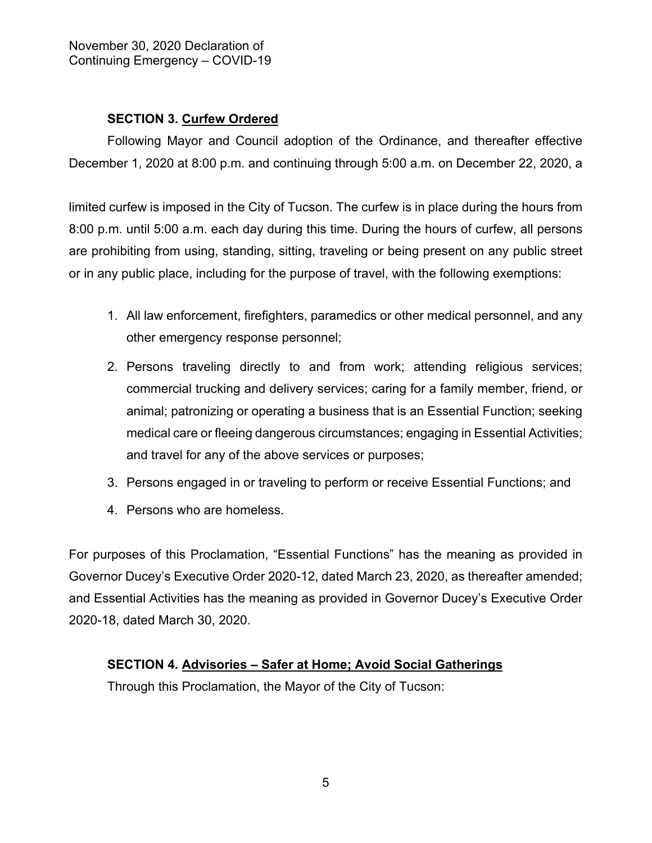#### **SECTION 3. Curfew Ordered**

Following Mayor and Council adoption of the Ordinance, and thereafter effective December 1, 2020 at 8:00 p.m. and continuing through 5:00 a.m. on December 22, 2020, a

limited curfew is imposed in the City of Tucson. The curfew is in place during the hours from 8:00 p.m. until 5:00 a.m. each day during this time. During the hours of curfew, all persons are prohibiting from using, standing, sitting, traveling or being present on any public street or in any public place, including for the purpose of travel, with the following exemptions:

- 1. All law enforcement, firefighters, paramedics or other medical personnel, and any other emergency response personnel;
- 2. Persons traveling directly to and from work; attending religious services; commercial trucking and delivery services; caring for a family member, friend, or animal; patronizing or operating a business that is an Essential Function; seeking medical care or fleeing dangerous circumstances; engaging in Essential Activities; and travel for any of the above services or purposes;
- 3. Persons engaged in or traveling to perform or receive Essential Functions; and
- 4. Persons who are homeless.

For purposes of this Proclamation, "Essential Functions" has the meaning as provided in Governor Ducey's Executive Order 2020-12, dated March 23, 2020, as thereafter amended; and Essential Activities has the meaning as provided in Governor Ducey's Executive Order 2020-18, dated March 30, 2020.

#### **SECTION 4. Advisories – Safer at Home; Avoid Social Gatherings**

Through this Proclamation, the Mayor of the City of Tucson: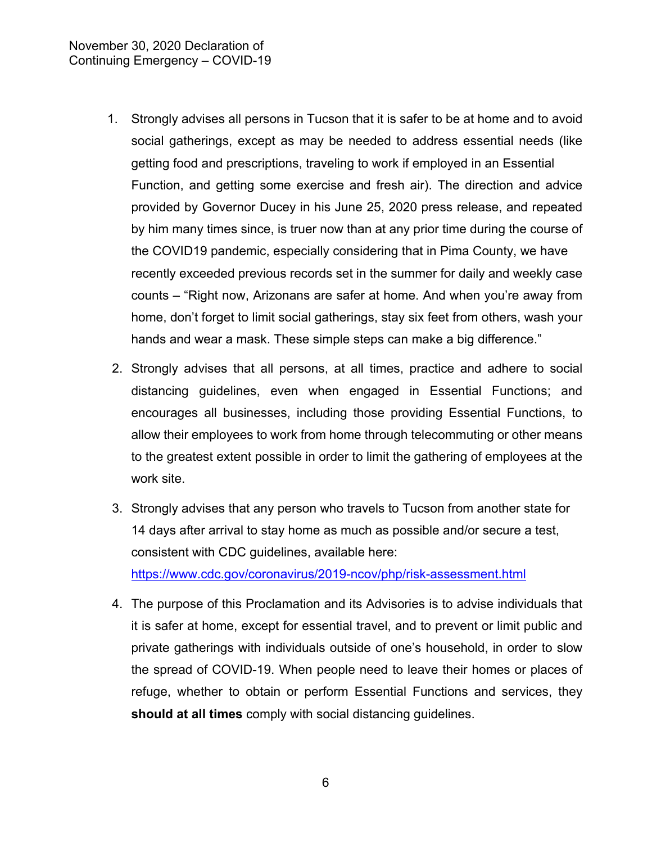- 1. Strongly advises all persons in Tucson that it is safer to be at home and to avoid social gatherings, except as may be needed to address essential needs (like getting food and prescriptions, traveling to work if employed in an Essential Function, and getting some exercise and fresh air). The direction and advice provided by Governor Ducey in his June 25, 2020 press release, and repeated by him many times since, is truer now than at any prior time during the course of the COVID19 pandemic, especially considering that in Pima County, we have recently exceeded previous records set in the summer for daily and weekly case counts – "Right now, Arizonans are safer at home. And when you're away from home, don't forget to limit social gatherings, stay six feet from others, wash your hands and wear a mask. These simple steps can make a big difference."
- 2. Strongly advises that all persons, at all times, practice and adhere to social distancing guidelines, even when engaged in Essential Functions; and encourages all businesses, including those providing Essential Functions, to allow their employees to work from home through telecommuting or other means to the greatest extent possible in order to limit the gathering of employees at the work site.
- 3. Strongly advises that any person who travels to Tucson from another state for 14 days after arrival to stay home as much as possible and/or secure a test, consistent with CDC guidelines, available here: <https://www.cdc.gov/coronavirus/2019-ncov/php/risk-assessment.html>
- 4. The purpose of this Proclamation and its Advisories is to advise individuals that it is safer at home, except for essential travel, and to prevent or limit public and private gatherings with individuals outside of one's household, in order to slow the spread of COVID-19. When people need to leave their homes or places of refuge, whether to obtain or perform Essential Functions and services, they **should at all times** comply with social distancing guidelines.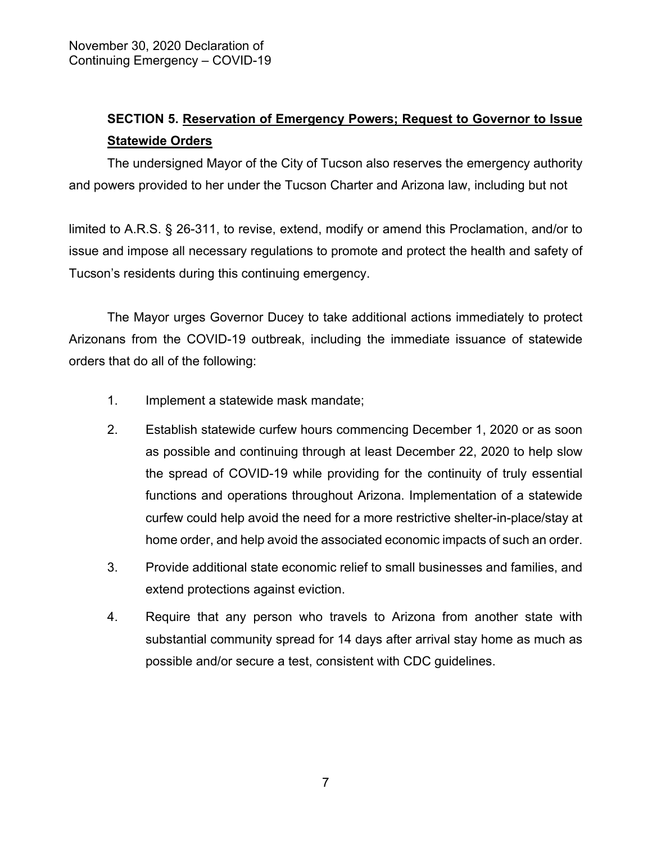## **SECTION 5. Reservation of Emergency Powers; Request to Governor to Issue Statewide Orders**

The undersigned Mayor of the City of Tucson also reserves the emergency authority and powers provided to her under the Tucson Charter and Arizona law, including but not

limited to A.R.S. § 26-311, to revise, extend, modify or amend this Proclamation, and/or to issue and impose all necessary regulations to promote and protect the health and safety of Tucson's residents during this continuing emergency.

The Mayor urges Governor Ducey to take additional actions immediately to protect Arizonans from the COVID-19 outbreak, including the immediate issuance of statewide orders that do all of the following:

- 1. Implement a statewide mask mandate;
- 2. Establish statewide curfew hours commencing December 1, 2020 or as soon as possible and continuing through at least December 22, 2020 to help slow the spread of COVID-19 while providing for the continuity of truly essential functions and operations throughout Arizona. Implementation of a statewide curfew could help avoid the need for a more restrictive shelter-in-place/stay at home order, and help avoid the associated economic impacts of such an order.
- 3. Provide additional state economic relief to small businesses and families, and extend protections against eviction.
- 4. Require that any person who travels to Arizona from another state with substantial community spread for 14 days after arrival stay home as much as possible and/or secure a test, consistent with CDC guidelines.